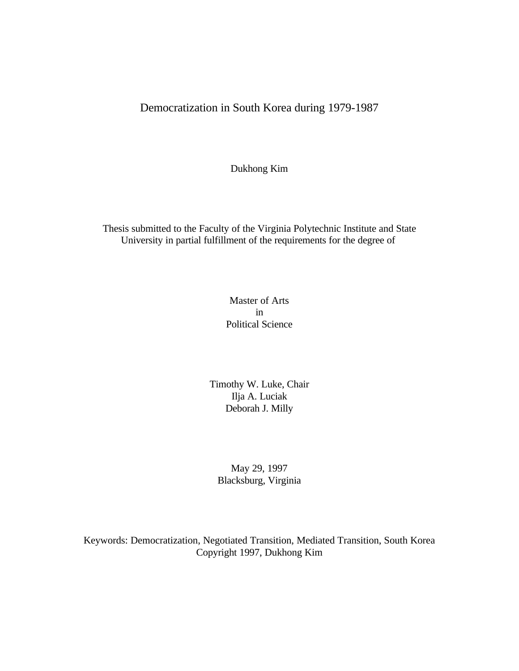Democratization in South Korea during 1979-1987

Dukhong Kim

Thesis submitted to the Faculty of the Virginia Polytechnic Institute and State University in partial fulfillment of the requirements for the degree of

> Master of Arts in Political Science

Timothy W. Luke, Chair Ilja A. Luciak Deborah J. Milly

May 29, 1997 Blacksburg, Virginia

Keywords: Democratization, Negotiated Transition, Mediated Transition, South Korea Copyright 1997, Dukhong Kim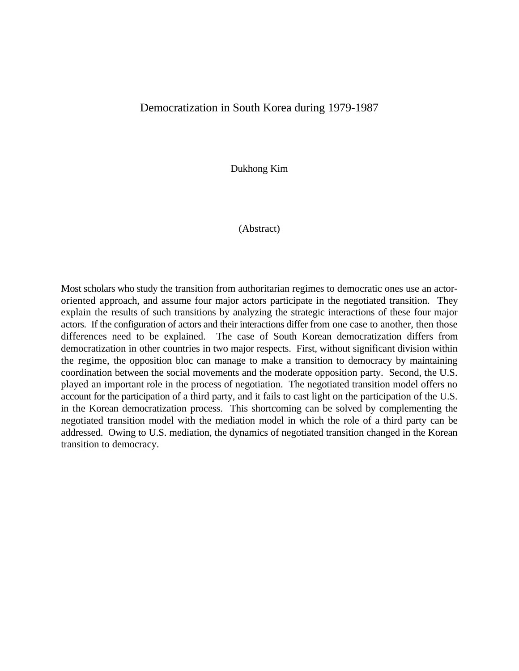## Democratization in South Korea during 1979-1987

Dukhong Kim

(Abstract)

Most scholars who study the transition from authoritarian regimes to democratic ones use an actororiented approach, and assume four major actors participate in the negotiated transition. They explain the results of such transitions by analyzing the strategic interactions of these four major actors. If the configuration of actors and their interactions differ from one case to another, then those differences need to be explained. The case of South Korean democratization differs from democratization in other countries in two major respects. First, without significant division within the regime, the opposition bloc can manage to make a transition to democracy by maintaining coordination between the social movements and the moderate opposition party. Second, the U.S. played an important role in the process of negotiation. The negotiated transition model offers no account for the participation of a third party, and it fails to cast light on the participation of the U.S. in the Korean democratization process. This shortcoming can be solved by complementing the negotiated transition model with the mediation model in which the role of a third party can be addressed. Owing to U.S. mediation, the dynamics of negotiated transition changed in the Korean transition to democracy.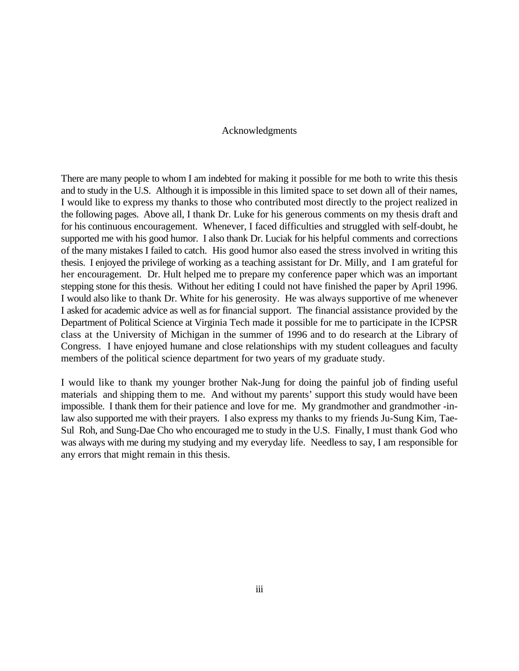## Acknowledgments

There are many people to whom I am indebted for making it possible for me both to write this thesis and to study in the U.S. Although it is impossible in this limited space to set down all of their names, I would like to express my thanks to those who contributed most directly to the project realized in the following pages. Above all, I thank Dr. Luke for his generous comments on my thesis draft and for his continuous encouragement. Whenever, I faced difficulties and struggled with self-doubt, he supported me with his good humor. I also thank Dr. Luciak for his helpful comments and corrections of the many mistakes I failed to catch. His good humor also eased the stress involved in writing this thesis. I enjoyed the privilege of working as a teaching assistant for Dr. Milly, and I am grateful for her encouragement. Dr. Hult helped me to prepare my conference paper which was an important stepping stone for this thesis. Without her editing I could not have finished the paper by April 1996. I would also like to thank Dr. White for his generosity. He was always supportive of me whenever I asked for academic advice as well as for financial support. The financial assistance provided by the Department of Political Science at Virginia Tech made it possible for me to participate in the ICPSR class at the University of Michigan in the summer of 1996 and to do research at the Library of Congress. I have enjoyed humane and close relationships with my student colleagues and faculty members of the political science department for two years of my graduate study.

I would like to thank my younger brother Nak-Jung for doing the painful job of finding useful materials and shipping them to me. And without my parents' support this study would have been impossible. I thank them for their patience and love for me. My grandmother and grandmother -inlaw also supported me with their prayers. I also express my thanks to my friends Ju-Sung Kim, Tae-Sul Roh, and Sung-Dae Cho who encouraged me to study in the U.S. Finally, I must thank God who was always with me during my studying and my everyday life. Needless to say, I am responsible for any errors that might remain in this thesis.